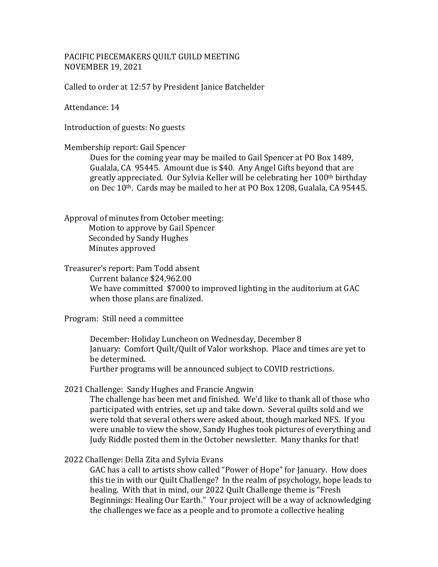# PACIFIC PIECEMAKERS QUILT GUILD MEETING NOVEMBER 19, 2021

Called to order at 12:57 by President Janice Batchelder

Attendance: 14

Introduction of guests: No guests

### Membership report: Gail Spencer

Dues for the coming year may be mailed to Gail Spencer at PO Box 1489, Gualala, CA 95445. Amount due is \$40. Any Angel Gifts beyond that are greatly appreciated. Our Sylvia Keller will be celebrating her 100th birthday on Dec 10th. Cards may be mailed to her at PO Box 1208, Gualala, CA 95445.

Approval of minutes from October meeting: Motion to approve by Gail Spencer Seconded by Sandy Hughes Minutes approved

Treasurer's report: Pam Todd absent Current balance \$24,962.00 We have committed \$7000 to improved lighting in the auditorium at GAC when those plans are finalized.

# Program: Still need a committee

December: Holiday Luncheon on Wednesday, December 8 January: Comfort Quilt/Quilt of Valor workshop. Place and times are yet to be determined.

Further programs will be announced subject to COVID restrictions.

2021 Challenge: Sandy Hughes and Francie Angwin

The challenge has been met and finished. We'd like to thank all of those who participated with entries, set up and take down. Several quilts sold and we were told that several others were asked about, though marked NFS. If you were unable to view the show, Sandy Hughes took pictures of everything and Judy Riddle posted them in the October newsletter. Many thanks for that!

2022 Challenge: Della Zita and Sylvia Evans

GAC has a call to artists show called "Power of Hope" for January. How does this tie in with our Quilt Challenge? In the realm of psychology, hope leads to healing. With that in mind, our 2022 Quilt Challenge theme is "Fresh Beginnings: Healing Our Earth." Your project will be a way of acknowledging the challenges we face as a people and to promote a collective healing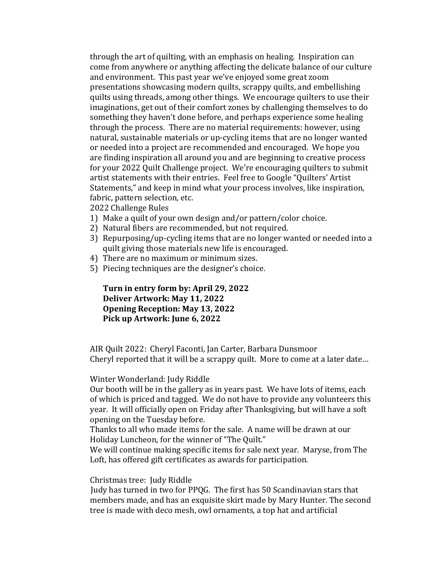through the art of quilting, with an emphasis on healing. Inspiration can come from anywhere or anything affecting the delicate balance of our culture and environment. This past year we've enjoyed some great zoom presentations showcasing modern quilts, scrappy quilts, and embellishing quilts using threads, among other things. We encourage quilters to use their imaginations, get out of their comfort zones by challenging themselves to do something they haven't done before, and perhaps experience some healing through the process. There are no material requirements: however, using natural, sustainable materials or up-cycling items that are no longer wanted or needed into a project are recommended and encouraged. We hope you are finding inspiration all around you and are beginning to creative process for your 2022 Quilt Challenge project. We're encouraging quilters to submit artist statements with their entries. Feel free to Google "Quilters' Artist Statements," and keep in mind what your process involves, like inspiration, fabric, pattern selection, etc.

2022 Challenge Rules

- 1) Make a quilt of your own design and/or pattern/color choice.
- 2) Natural fibers are recommended, but not required.
- 3) Repurposing/up-cycling items that are no longer wanted or needed into a quilt giving those materials new life is encouraged.
- 4) There are no maximum or minimum sizes.
- 5) Piecing techniques are the designer's choice.

**Turn in entry form by: April 29, 2022 Deliver Artwork: May 11, 2022 Opening Reception: May 13, 2022 Pick up Artwork: June 6, 2022**

AIR Quilt 2022: Cheryl Faconti, Jan Carter, Barbara Dunsmoor Cheryl reported that it will be a scrappy quilt. More to come at a later date…

## Winter Wonderland: Judy Riddle

Our booth will be in the gallery as in years past. We have lots of items, each of which is priced and tagged. We do not have to provide any volunteers this year. It will officially open on Friday after Thanksgiving, but will have a soft opening on the Tuesday before.

Thanks to all who made items for the sale. A name will be drawn at our Holiday Luncheon, for the winner of "The Quilt."

We will continue making specific items for sale next year. Maryse, from The Loft, has offered gift certificates as awards for participation.

Christmas tree: Judy Riddle

Judy has turned in two for PPQG. The first has 50 Scandinavian stars that members made, and has an exquisite skirt made by Mary Hunter. The second tree is made with deco mesh, owl ornaments, a top hat and artificial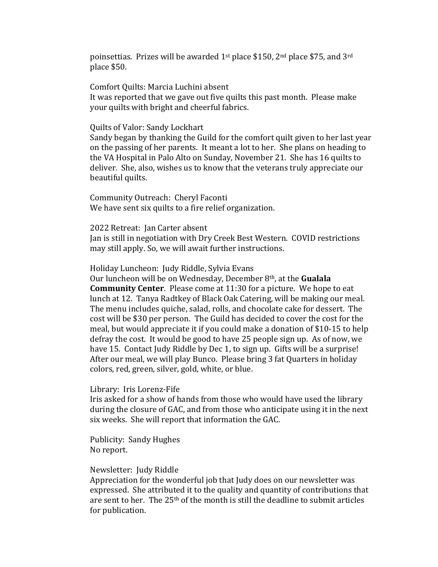poinsettias. Prizes will be awarded 1st place \$150, 2nd place \$75, and 3rd place \$50.

Comfort Quilts: Marcia Luchini absent It was reported that we gave out five quilts this past month. Please make your quilts with bright and cheerful fabrics.

#### Quilts of Valor: Sandy Lockhart

Sandy began by thanking the Guild for the comfort quilt given to her last year on the passing of her parents. It meant a lot to her. She plans on heading to the VA Hospital in Palo Alto on Sunday, November 21. She has 16 quilts to deliver. She, also, wishes us to know that the veterans truly appreciate our beautiful quilts.

Community Outreach: Cheryl Faconti We have sent six quilts to a fire relief organization.

2022 Retreat: Jan Carter absent Jan is still in negotiation with Dry Creek Best Western. COVID restrictions may still apply. So, we will await further instructions.

Holiday Luncheon: Judy Riddle, Sylvia Evans

Our luncheon will be on Wednesday, December 8th, at the **Gualala Community Center**. Please come at 11:30 for a picture. We hope to eat lunch at 12. Tanya Radtkey of Black Oak Catering, will be making our meal. The menu includes quiche, salad, rolls, and chocolate cake for dessert. The cost will be \$30 per person. The Guild has decided to cover the cost for the meal, but would appreciate it if you could make a donation of \$10-15 to help defray the cost. It would be good to have 25 people sign up. As of now, we have 15. Contact Judy Riddle by Dec 1, to sign up. Gifts will be a surprise! After our meal, we will play Bunco. Please bring 3 fat Quarters in holiday colors, red, green, silver, gold, white, or blue.

## Library: Iris Lorenz-Fife

Iris asked for a show of hands from those who would have used the library during the closure of GAC, and from those who anticipate using it in the next six weeks. She will report that information the GAC.

Publicity: Sandy Hughes No report.

## Newsletter: Judy Riddle

Appreciation for the wonderful job that Judy does on our newsletter was expressed. She attributed it to the quality and quantity of contributions that are sent to her. The 25<sup>th</sup> of the month is still the deadline to submit articles for publication.